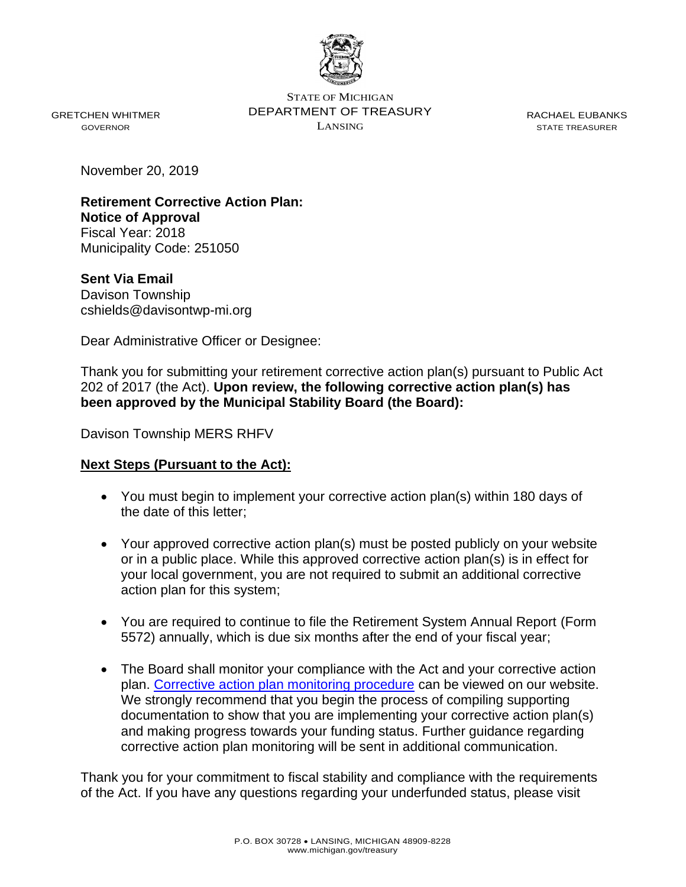

GRETCHEN WHITMER GOVERNOR

STATE OF MICHIGAN DEPARTMENT OF TREASURY LANSING

RACHAEL EUBANKS STATE TREASURER

November 20, 2019

**Retirement Corrective Action Plan: Notice of Approval** Fiscal Year: 2018 Municipality Code: 251050

**Sent Via Email** Davison Township cshields@davisontwp-mi.org

Dear Administrative Officer or Designee:

Thank you for submitting your retirement corrective action plan(s) pursuant to Public Act 202 of 2017 (the Act). **Upon review, the following corrective action plan(s) has been approved by the Municipal Stability Board (the Board):** 

Davison Township MERS RHFV

## **Next Steps (Pursuant to the Act):**

- You must begin to implement your corrective action plan(s) within 180 days of the date of this letter;
- Your approved corrective action plan(s) must be posted publicly on your website or in a public place. While this approved corrective action plan(s) is in effect for your local government, you are not required to submit an additional corrective action plan for this system;
- You are required to continue to file the Retirement System Annual Report (Form 5572) annually, which is due six months after the end of your fiscal year;
- The Board shall monitor your compliance with the Act and your corrective action plan. [Corrective action plan monitoring procedure](file://///som.ad.state.mi.us/treasurydfs/LGOV/LAF/Mail_Merge_Docs/Retirement/CAP%20Determinations/CAP%20Approval%20Letters/Further%20guidance%20regarding%20corrective%20action%20plan%20monitoring%20will%20be%20sent%20in%20additional%20communication.) can be viewed on our website. We strongly recommend that you begin the process of compiling supporting documentation to show that you are implementing your corrective action plan(s) and making progress towards your funding status. Further guidance regarding corrective action plan monitoring will be sent in additional communication.

Thank you for your commitment to fiscal stability and compliance with the requirements of the Act. If you have any questions regarding your underfunded status, please visit